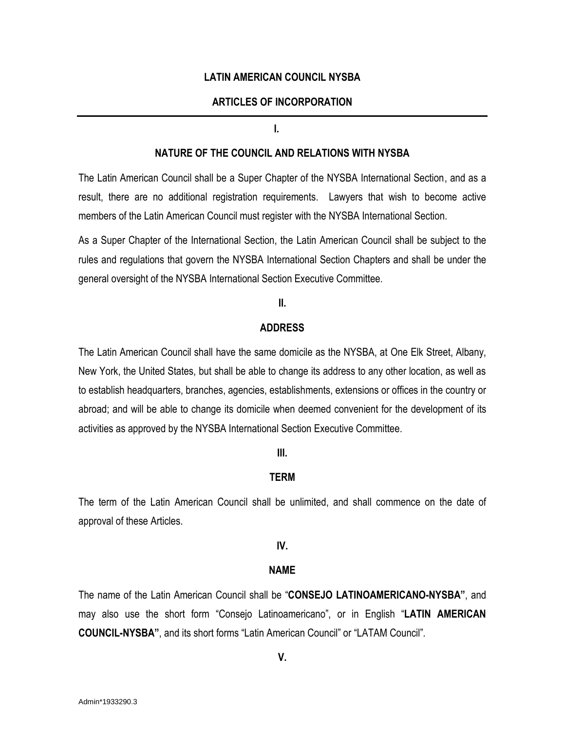### **LATIN AMERICAN COUNCIL NYSBA**

## **ARTICLES OF INCORPORATION**

#### **I.**

### **NATURE OF THE COUNCIL AND RELATIONS WITH NYSBA**

The Latin American Council shall be a Super Chapter of the NYSBA International Section, and as a result, there are no additional registration requirements. Lawyers that wish to become active members of the Latin American Council must register with the NYSBA International Section.

As a Super Chapter of the International Section, the Latin American Council shall be subject to the rules and regulations that govern the NYSBA International Section Chapters and shall be under the general oversight of the NYSBA International Section Executive Committee.

#### **II.**

#### **ADDRESS**

The Latin American Council shall have the same domicile as the NYSBA, at One Elk Street, Albany, New York, the United States, but shall be able to change its address to any other location, as well as to establish headquarters, branches, agencies, establishments, extensions or offices in the country or abroad; and will be able to change its domicile when deemed convenient for the development of its activities as approved by the NYSBA International Section Executive Committee.

### **III.**

#### **TERM**

The term of the Latin American Council shall be unlimited, and shall commence on the date of approval of these Articles.

#### **IV.**

#### **NAME**

The name of the Latin American Council shall be "**CONSEJO LATINOAMERICANO-NYSBA"**, and may also use the short form "Consejo Latinoamericano", or in English "**LATIN AMERICAN COUNCIL-NYSBA"**, and its short forms "Latin American Council" or "LATAM Council".

#### **V.**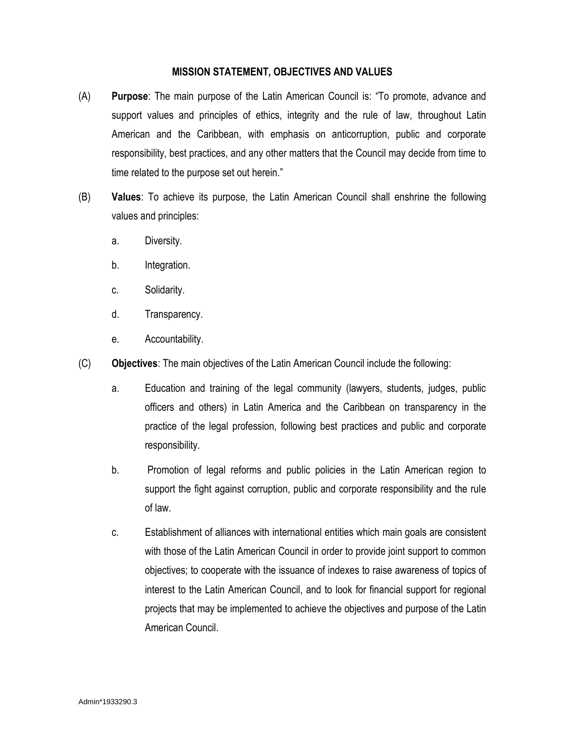## **MISSION STATEMENT, OBJECTIVES AND VALUES**

- (A) **Purpose**: The main purpose of the Latin American Council is: "To promote, advance and support values and principles of ethics, integrity and the rule of law, throughout Latin American and the Caribbean, with emphasis on anticorruption, public and corporate responsibility, best practices, and any other matters that the Council may decide from time to time related to the purpose set out herein."
- (B) **Values**: To achieve its purpose, the Latin American Council shall enshrine the following values and principles:
	- a. Diversity.
	- b. Integration.
	- c. Solidarity.
	- d. Transparency.
	- e. Accountability.
- (C) **Objectives**: The main objectives of the Latin American Council include the following:
	- a. Education and training of the legal community (lawyers, students, judges, public officers and others) in Latin America and the Caribbean on transparency in the practice of the legal profession, following best practices and public and corporate responsibility.
	- b. Promotion of legal reforms and public policies in the Latin American region to support the fight against corruption, public and corporate responsibility and the rule of law.
	- c. Establishment of alliances with international entities which main goals are consistent with those of the Latin American Council in order to provide joint support to common objectives; to cooperate with the issuance of indexes to raise awareness of topics of interest to the Latin American Council, and to look for financial support for regional projects that may be implemented to achieve the objectives and purpose of the Latin American Council.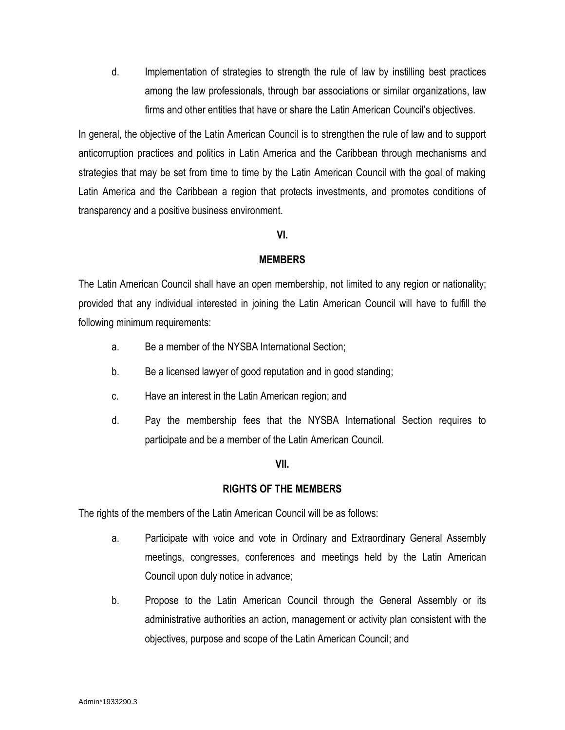d. Implementation of strategies to strength the rule of law by instilling best practices among the law professionals, through bar associations or similar organizations, law firms and other entities that have or share the Latin American Council's objectives.

In general, the objective of the Latin American Council is to strengthen the rule of law and to support anticorruption practices and politics in Latin America and the Caribbean through mechanisms and strategies that may be set from time to time by the Latin American Council with the goal of making Latin America and the Caribbean a region that protects investments, and promotes conditions of transparency and a positive business environment.

### **VI.**

## **MEMBERS**

The Latin American Council shall have an open membership, not limited to any region or nationality; provided that any individual interested in joining the Latin American Council will have to fulfill the following minimum requirements:

- a. Be a member of the NYSBA International Section;
- b. Be a licensed lawyer of good reputation and in good standing;
- c. Have an interest in the Latin American region; and
- d. Pay the membership fees that the NYSBA International Section requires to participate and be a member of the Latin American Council.

## **VII.**

## **RIGHTS OF THE MEMBERS**

The rights of the members of the Latin American Council will be as follows:

- a. Participate with voice and vote in Ordinary and Extraordinary General Assembly meetings, congresses, conferences and meetings held by the Latin American Council upon duly notice in advance;
- b. Propose to the Latin American Council through the General Assembly or its administrative authorities an action, management or activity plan consistent with the objectives, purpose and scope of the Latin American Council; and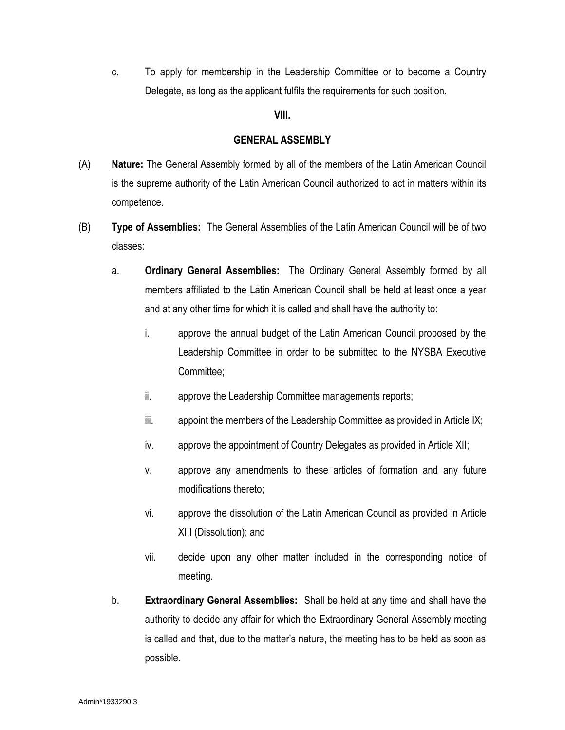c. To apply for membership in the Leadership Committee or to become a Country Delegate, as long as the applicant fulfils the requirements for such position.

### **VIII.**

### **GENERAL ASSEMBLY**

- (A) **Nature:** The General Assembly formed by all of the members of the Latin American Council is the supreme authority of the Latin American Council authorized to act in matters within its competence.
- (B) **Type of Assemblies:** The General Assemblies of the Latin American Council will be of two classes:
	- a. **Ordinary General Assemblies:** The Ordinary General Assembly formed by all members affiliated to the Latin American Council shall be held at least once a year and at any other time for which it is called and shall have the authority to:
		- i. approve the annual budget of the Latin American Council proposed by the Leadership Committee in order to be submitted to the NYSBA Executive Committee;
		- ii. approve the Leadership Committee managements reports;
		- iii. appoint the members of the Leadership Committee as provided in Article IX;
		- iv. approve the appointment of Country Delegates as provided in Article XII;
		- v. approve any amendments to these articles of formation and any future modifications thereto;
		- vi. approve the dissolution of the Latin American Council as provided in Article XIII (Dissolution); and
		- vii. decide upon any other matter included in the corresponding notice of meeting.
	- b. **Extraordinary General Assemblies:** Shall be held at any time and shall have the authority to decide any affair for which the Extraordinary General Assembly meeting is called and that, due to the matter's nature, the meeting has to be held as soon as possible.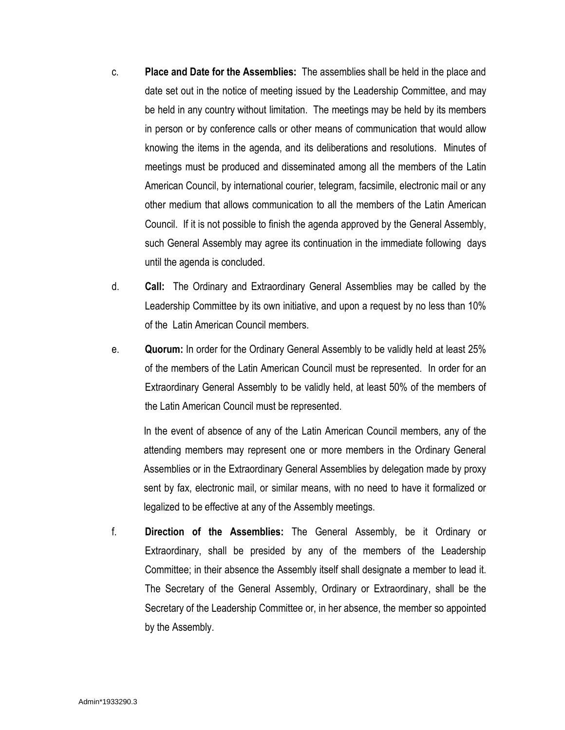- c. **Place and Date for the Assemblies:** The assemblies shall be held in the place and date set out in the notice of meeting issued by the Leadership Committee, and may be held in any country without limitation. The meetings may be held by its members in person or by conference calls or other means of communication that would allow knowing the items in the agenda, and its deliberations and resolutions. Minutes of meetings must be produced and disseminated among all the members of the Latin American Council, by international courier, telegram, facsimile, electronic mail or any other medium that allows communication to all the members of the Latin American Council. If it is not possible to finish the agenda approved by the General Assembly, such General Assembly may agree its continuation in the immediate following days until the agenda is concluded.
- d. **Call:** The Ordinary and Extraordinary General Assemblies may be called by the Leadership Committee by its own initiative, and upon a request by no less than 10% of the Latin American Council members.
- e. **Quorum:** In order for the Ordinary General Assembly to be validly held at least 25% of the members of the Latin American Council must be represented. In order for an Extraordinary General Assembly to be validly held, at least 50% of the members of the Latin American Council must be represented.

In the event of absence of any of the Latin American Council members, any of the attending members may represent one or more members in the Ordinary General Assemblies or in the Extraordinary General Assemblies by delegation made by proxy sent by fax, electronic mail, or similar means, with no need to have it formalized or legalized to be effective at any of the Assembly meetings.

f. **Direction of the Assemblies:** The General Assembly, be it Ordinary or Extraordinary, shall be presided by any of the members of the Leadership Committee; in their absence the Assembly itself shall designate a member to lead it. The Secretary of the General Assembly, Ordinary or Extraordinary, shall be the Secretary of the Leadership Committee or, in her absence, the member so appointed by the Assembly.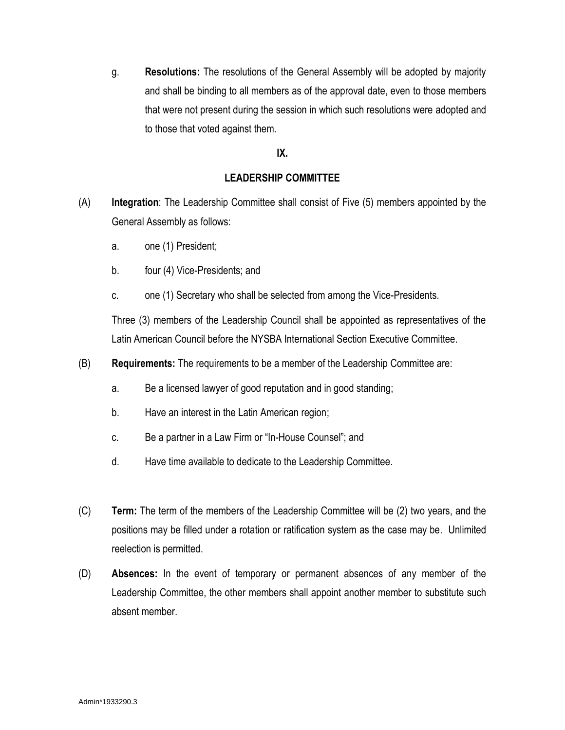g. **Resolutions:** The resolutions of the General Assembly will be adopted by majority and shall be binding to all members as of the approval date, even to those members that were not present during the session in which such resolutions were adopted and to those that voted against them.

# **IX.**

# **LEADERSHIP COMMITTEE**

- (A) **Integration**: The Leadership Committee shall consist of Five (5) members appointed by the General Assembly as follows:
	- a. one (1) President;
	- b. four (4) Vice-Presidents; and
	- c. one (1) Secretary who shall be selected from among the Vice-Presidents.

Three (3) members of the Leadership Council shall be appointed as representatives of the Latin American Council before the NYSBA International Section Executive Committee.

- (B) **Requirements:** The requirements to be a member of the Leadership Committee are:
	- a. Be a licensed lawyer of good reputation and in good standing;
	- b. Have an interest in the Latin American region;
	- c. Be a partner in a Law Firm or "In-House Counsel"; and
	- d. Have time available to dedicate to the Leadership Committee.
- (C) **Term:** The term of the members of the Leadership Committee will be (2) two years, and the positions may be filled under a rotation or ratification system as the case may be. Unlimited reelection is permitted.
- (D) **Absences:** In the event of temporary or permanent absences of any member of the Leadership Committee, the other members shall appoint another member to substitute such absent member.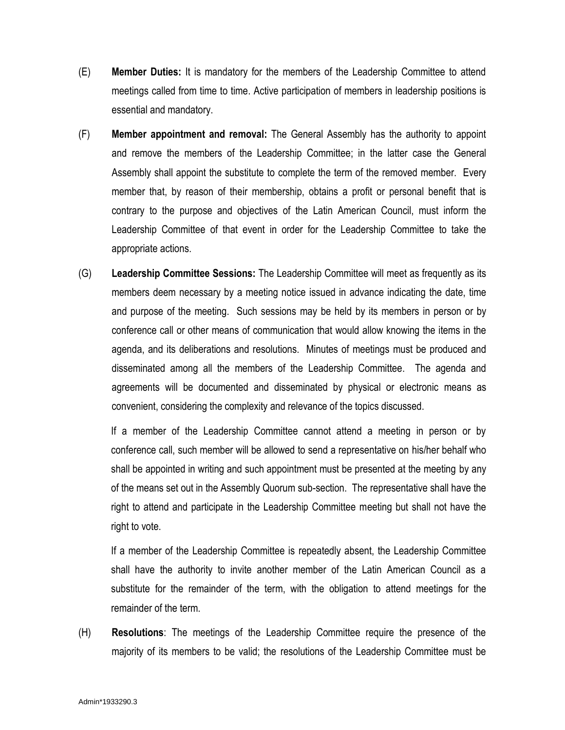- (E) **Member Duties:** It is mandatory for the members of the Leadership Committee to attend meetings called from time to time. Active participation of members in leadership positions is essential and mandatory.
- (F) **Member appointment and removal:** The General Assembly has the authority to appoint and remove the members of the Leadership Committee; in the latter case the General Assembly shall appoint the substitute to complete the term of the removed member. Every member that, by reason of their membership, obtains a profit or personal benefit that is contrary to the purpose and objectives of the Latin American Council, must inform the Leadership Committee of that event in order for the Leadership Committee to take the appropriate actions.
- (G) **Leadership Committee Sessions:** The Leadership Committee will meet as frequently as its members deem necessary by a meeting notice issued in advance indicating the date, time and purpose of the meeting. Such sessions may be held by its members in person or by conference call or other means of communication that would allow knowing the items in the agenda, and its deliberations and resolutions. Minutes of meetings must be produced and disseminated among all the members of the Leadership Committee. The agenda and agreements will be documented and disseminated by physical or electronic means as convenient, considering the complexity and relevance of the topics discussed.

If a member of the Leadership Committee cannot attend a meeting in person or by conference call, such member will be allowed to send a representative on his/her behalf who shall be appointed in writing and such appointment must be presented at the meeting by any of the means set out in the Assembly Quorum sub-section. The representative shall have the right to attend and participate in the Leadership Committee meeting but shall not have the right to vote.

If a member of the Leadership Committee is repeatedly absent, the Leadership Committee shall have the authority to invite another member of the Latin American Council as a substitute for the remainder of the term, with the obligation to attend meetings for the remainder of the term.

(H) **Resolutions**: The meetings of the Leadership Committee require the presence of the majority of its members to be valid; the resolutions of the Leadership Committee must be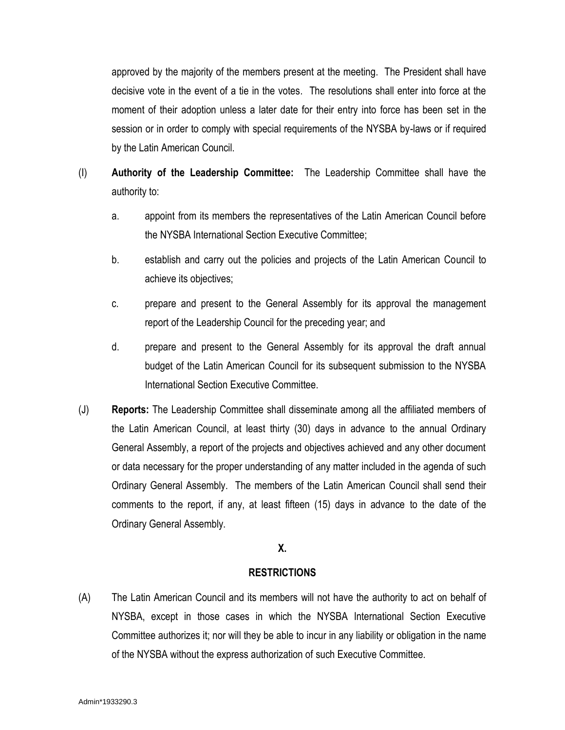approved by the majority of the members present at the meeting. The President shall have decisive vote in the event of a tie in the votes. The resolutions shall enter into force at the moment of their adoption unless a later date for their entry into force has been set in the session or in order to comply with special requirements of the NYSBA by-laws or if required by the Latin American Council.

- (I) **Authority of the Leadership Committee:** The Leadership Committee shall have the authority to:
	- a. appoint from its members the representatives of the Latin American Council before the NYSBA International Section Executive Committee;
	- b. establish and carry out the policies and projects of the Latin American Council to achieve its objectives;
	- c. prepare and present to the General Assembly for its approval the management report of the Leadership Council for the preceding year; and
	- d. prepare and present to the General Assembly for its approval the draft annual budget of the Latin American Council for its subsequent submission to the NYSBA International Section Executive Committee.
- (J) **Reports:** The Leadership Committee shall disseminate among all the affiliated members of the Latin American Council, at least thirty (30) days in advance to the annual Ordinary General Assembly, a report of the projects and objectives achieved and any other document or data necessary for the proper understanding of any matter included in the agenda of such Ordinary General Assembly. The members of the Latin American Council shall send their comments to the report, if any, at least fifteen (15) days in advance to the date of the Ordinary General Assembly.

# **X.**

# **RESTRICTIONS**

(A) The Latin American Council and its members will not have the authority to act on behalf of NYSBA, except in those cases in which the NYSBA International Section Executive Committee authorizes it; nor will they be able to incur in any liability or obligation in the name of the NYSBA without the express authorization of such Executive Committee.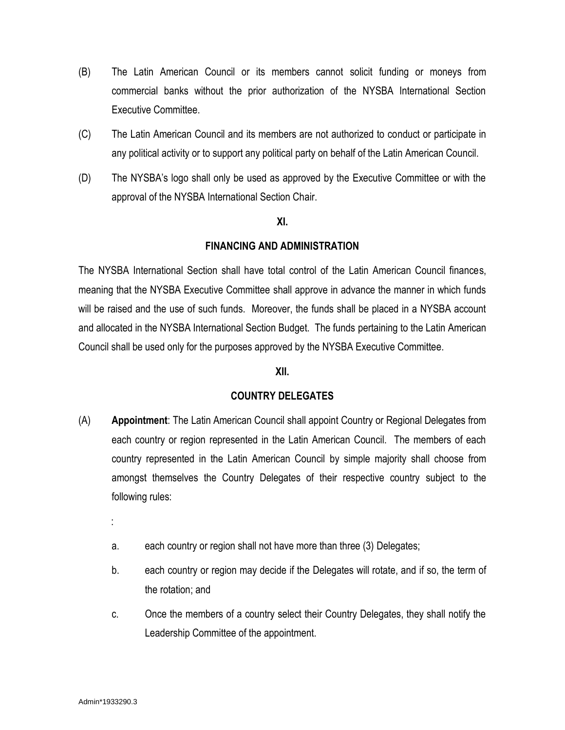- (B) The Latin American Council or its members cannot solicit funding or moneys from commercial banks without the prior authorization of the NYSBA International Section Executive Committee.
- (C) The Latin American Council and its members are not authorized to conduct or participate in any political activity or to support any political party on behalf of the Latin American Council.
- (D) The NYSBA's logo shall only be used as approved by the Executive Committee or with the approval of the NYSBA International Section Chair.

### **XI.**

## **FINANCING AND ADMINISTRATION**

The NYSBA International Section shall have total control of the Latin American Council finances, meaning that the NYSBA Executive Committee shall approve in advance the manner in which funds will be raised and the use of such funds. Moreover, the funds shall be placed in a NYSBA account and allocated in the NYSBA International Section Budget. The funds pertaining to the Latin American Council shall be used only for the purposes approved by the NYSBA Executive Committee.

## **XII.**

## **COUNTRY DELEGATES**

- (A) **Appointment**: The Latin American Council shall appoint Country or Regional Delegates from each country or region represented in the Latin American Council. The members of each country represented in the Latin American Council by simple majority shall choose from amongst themselves the Country Delegates of their respective country subject to the following rules:
	- :
	- a. each country or region shall not have more than three (3) Delegates;
	- b. each country or region may decide if the Delegates will rotate, and if so, the term of the rotation; and
	- c. Once the members of a country select their Country Delegates, they shall notify the Leadership Committee of the appointment.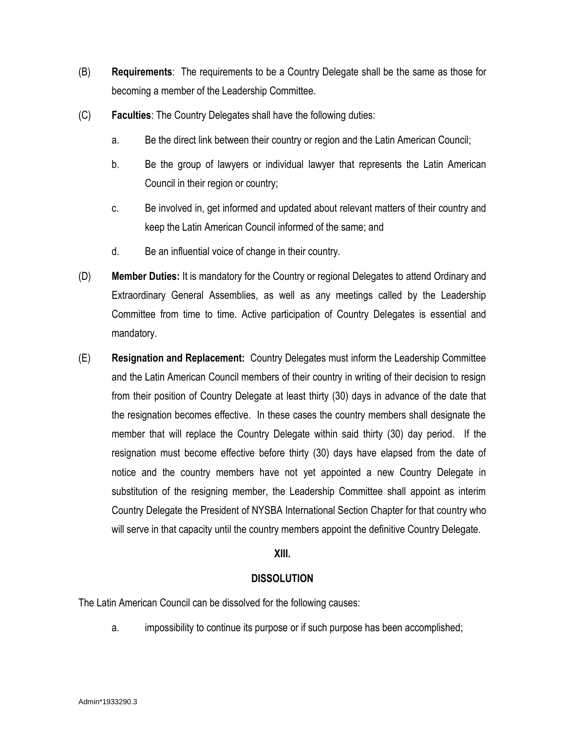- (B) **Requirements**: The requirements to be a Country Delegate shall be the same as those for becoming a member of the Leadership Committee.
- (C) **Faculties**: The Country Delegates shall have the following duties:
	- a. Be the direct link between their country or region and the Latin American Council;
	- b. Be the group of lawyers or individual lawyer that represents the Latin American Council in their region or country;
	- c. Be involved in, get informed and updated about relevant matters of their country and keep the Latin American Council informed of the same; and
	- d. Be an influential voice of change in their country.
- (D) **Member Duties:** It is mandatory for the Country or regional Delegates to attend Ordinary and Extraordinary General Assemblies, as well as any meetings called by the Leadership Committee from time to time. Active participation of Country Delegates is essential and mandatory.
- (E) **Resignation and Replacement:** Country Delegates must inform the Leadership Committee and the Latin American Council members of their country in writing of their decision to resign from their position of Country Delegate at least thirty (30) days in advance of the date that the resignation becomes effective. In these cases the country members shall designate the member that will replace the Country Delegate within said thirty (30) day period. If the resignation must become effective before thirty (30) days have elapsed from the date of notice and the country members have not yet appointed a new Country Delegate in substitution of the resigning member, the Leadership Committee shall appoint as interim Country Delegate the President of NYSBA International Section Chapter for that country who will serve in that capacity until the country members appoint the definitive Country Delegate.

# **XIII.**

# **DISSOLUTION**

The Latin American Council can be dissolved for the following causes:

a. impossibility to continue its purpose or if such purpose has been accomplished;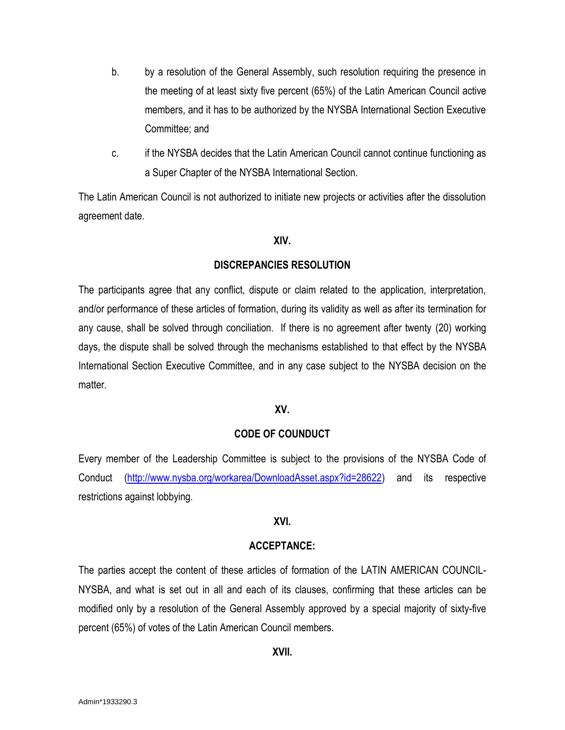- b. by a resolution of the General Assembly, such resolution requiring the presence in the meeting of at least sixty five percent (65%) of the Latin American Council active members, and it has to be authorized by the NYSBA International Section Executive Committee; and
- c. if the NYSBA decides that the Latin American Council cannot continue functioning as a Super Chapter of the NYSBA International Section.

The Latin American Council is not authorized to initiate new projects or activities after the dissolution agreement date.

### **XIV.**

## **DISCREPANCIES RESOLUTION**

The participants agree that any conflict, dispute or claim related to the application, interpretation, and/or performance of these articles of formation, during its validity as well as after its termination for any cause, shall be solved through conciliation. If there is no agreement after twenty (20) working days, the dispute shall be solved through the mechanisms established to that effect by the NYSBA International Section Executive Committee, and in any case subject to the NYSBA decision on the matter

## **XV.**

## **CODE OF COUNDUCT**

Every member of the Leadership Committee is subject to the provisions of the NYSBA Code of Conduct [\(http://www.nysba.org/workarea/DownloadAsset.aspx?id=28622\)](http://www.nysba.org/workarea/DownloadAsset.aspx?id=28622) and its respective restrictions against lobbying.

## **XVI.**

### **ACCEPTANCE:**

The parties accept the content of these articles of formation of the LATIN AMERICAN COUNCIL-NYSBA, and what is set out in all and each of its clauses, confirming that these articles can be modified only by a resolution of the General Assembly approved by a special majority of sixty-five percent (65%) of votes of the Latin American Council members.

## **XVII.**